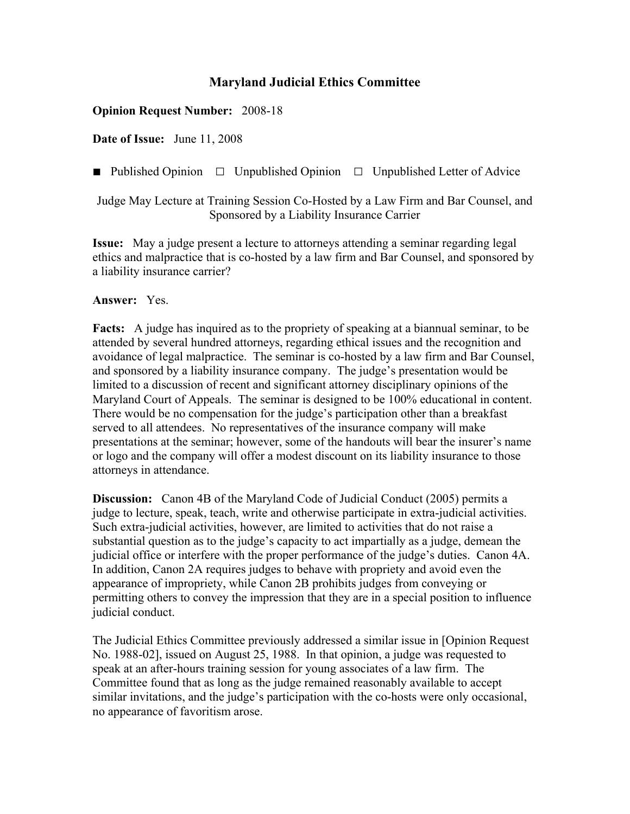## **Maryland Judicial Ethics Committee**

## **Opinion Request Number:** 2008-18

**Date of Issue:** June 11, 2008

■ Published Opinion □ Unpublished Opinion □ Unpublished Letter of Advice

Judge May Lecture at Training Session Co-Hosted by a Law Firm and Bar Counsel, and Sponsored by a Liability Insurance Carrier

**Issue:** May a judge present a lecture to attorneys attending a seminar regarding legal ethics and malpractice that is co-hosted by a law firm and Bar Counsel, and sponsored by a liability insurance carrier?

**Answer:** Yes.

**Facts:** A judge has inquired as to the propriety of speaking at a biannual seminar, to be attended by several hundred attorneys, regarding ethical issues and the recognition and avoidance of legal malpractice. The seminar is co-hosted by a law firm and Bar Counsel, and sponsored by a liability insurance company. The judge's presentation would be limited to a discussion of recent and significant attorney disciplinary opinions of the Maryland Court of Appeals. The seminar is designed to be 100% educational in content. There would be no compensation for the judge's participation other than a breakfast served to all attendees. No representatives of the insurance company will make presentations at the seminar; however, some of the handouts will bear the insurer's name or logo and the company will offer a modest discount on its liability insurance to those attorneys in attendance.

**Discussion:** Canon 4B of the Maryland Code of Judicial Conduct (2005) permits a judge to lecture, speak, teach, write and otherwise participate in extra-judicial activities. Such extra-judicial activities, however, are limited to activities that do not raise a substantial question as to the judge's capacity to act impartially as a judge, demean the judicial office or interfere with the proper performance of the judge's duties. Canon 4A. In addition, Canon 2A requires judges to behave with propriety and avoid even the appearance of impropriety, while Canon 2B prohibits judges from conveying or permitting others to convey the impression that they are in a special position to influence judicial conduct.

The Judicial Ethics Committee previously addressed a similar issue in [Opinion Request No. 1988-02], issued on August 25, 1988. In that opinion, a judge was requested to speak at an after-hours training session for young associates of a law firm. The Committee found that as long as the judge remained reasonably available to accept similar invitations, and the judge's participation with the co-hosts were only occasional, no appearance of favoritism arose.